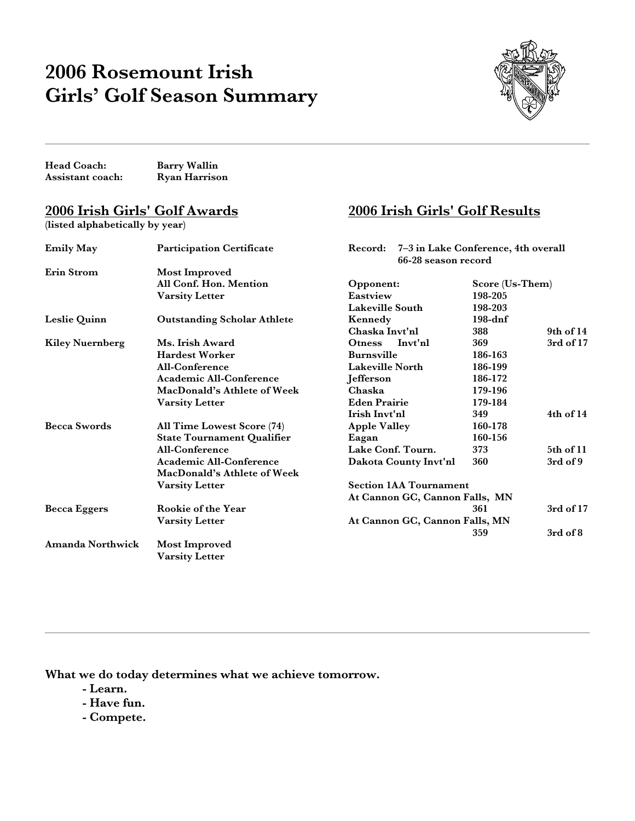# **2006 Rosemount Irish Girls' Golf Season Summary**



**2006 Irish Girls' Golf Results**

**Head Coach: Barry Wallin** Assistant coach:

## **2006 Irish Girls' Golf Awards**

**(listed alphabetically by year)**

| <b>Emily May</b>       | <b>Participation Certificate</b>   | 7–3 in Lake Conference, 4th overall<br>Record:<br>66-28 season record |                               |               |  |  |
|------------------------|------------------------------------|-----------------------------------------------------------------------|-------------------------------|---------------|--|--|
|                        |                                    |                                                                       |                               |               |  |  |
| Erin Strom             | Most Improved                      |                                                                       |                               |               |  |  |
|                        | All Conf. Hon. Mention             | Score (Us-Them)<br>Opponent:                                          |                               |               |  |  |
|                        | Varsity Letter                     | Eastview                                                              | 198-205                       |               |  |  |
|                        |                                    | <b>Lakeville South</b>                                                | 198-203                       |               |  |  |
| Leslie Quinn           | <b>Outstanding Scholar Athlete</b> | Kennedy                                                               | $198$ -dnf                    |               |  |  |
|                        |                                    | Chaska Invt'nl                                                        | 388                           | 9th of 14     |  |  |
| <b>Kiley Nuernberg</b> | Ms. Irish Award                    | Invt'nl<br><b>Otness</b>                                              | 369                           | 3rd of 17     |  |  |
|                        | <b>Hardest Worker</b>              | <b>Burnsville</b>                                                     | 186-163                       |               |  |  |
|                        | All-Conference                     | <b>Lakeville North</b>                                                | 186-199                       |               |  |  |
|                        | <b>Academic All-Conference</b>     | Jefferson                                                             | 186-172                       |               |  |  |
|                        | MacDonald's Athlete of Week        | Chaska                                                                | 179-196                       |               |  |  |
|                        | <b>Varsity Letter</b>              | <b>Eden Prairie</b>                                                   | 179-184                       |               |  |  |
|                        |                                    | Irish Invt'nl                                                         | 349                           | $4th$ of $14$ |  |  |
| <b>Becca Swords</b>    | All Time Lowest Score (74)         | <b>Apple Valley</b>                                                   | 160-178                       |               |  |  |
|                        | <b>State Tournament Qualifier</b>  | Eagan                                                                 | 160-156                       |               |  |  |
|                        | All-Conference                     | Lake Conf. Tourn.                                                     | 373                           | 5th of 11     |  |  |
|                        | Academic All-Conference            | Dakota County Invt'nl                                                 | 360                           | 3rd of 9      |  |  |
|                        | MacDonald's Athlete of Week        |                                                                       |                               |               |  |  |
|                        | <b>Varsity Letter</b>              |                                                                       | <b>Section 1AA Tournament</b> |               |  |  |
|                        |                                    | At Cannon GC, Cannon Falls, MN                                        |                               |               |  |  |
| <b>Becca Eggers</b>    | Rookie of the Year                 |                                                                       | 361                           | 3rd of 17     |  |  |
|                        | <b>Varsity Letter</b>              | At Cannon GC, Cannon Falls, MN                                        |                               |               |  |  |
|                        |                                    |                                                                       | 359                           | $3rd$ of $8$  |  |  |
| Amanda Northwick       | Most Improved                      |                                                                       |                               |               |  |  |
|                        | <b>Varsity Letter</b>              |                                                                       |                               |               |  |  |
|                        |                                    |                                                                       |                               |               |  |  |

**What we do today determines what we achieve tomorrow.**

- **Learn.**
- **Have fun.**
- **Compete.**